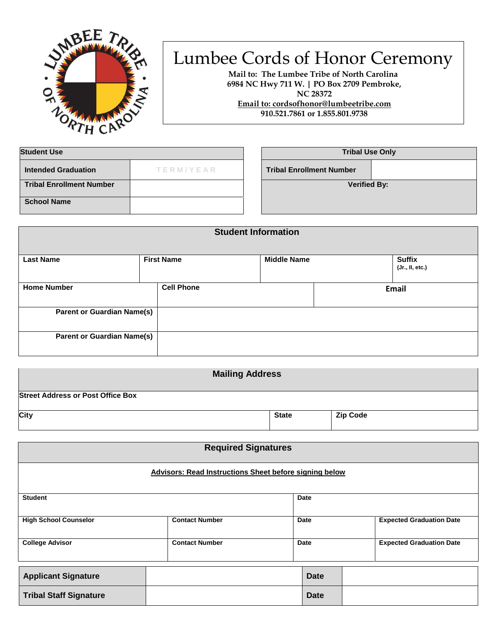

## Lumbee Cords of Honor Ceremony

**Mail to: The Lumbee Tribe of North Carolina 6984 NC Hwy 711 W. | PO Box 2709 Pembroke, NC 28372 Email to: cordsofhonor@lumbeetribe.com**

**910.521.7861 or 1.855.801.9738** 

| <b>Student Use</b>              |           | <b>Tribal Use Only</b>          |  |
|---------------------------------|-----------|---------------------------------|--|
| <b>Intended Graduation</b>      | TERM/YEAR | <b>Tribal Enrollment Number</b> |  |
| <b>Tribal Enrollment Number</b> |           | <b>Verified By:</b>             |  |
| <b>School Name</b>              |           |                                 |  |

| <b>Student Information</b>        |                   |                    |                                  |
|-----------------------------------|-------------------|--------------------|----------------------------------|
| <b>Last Name</b>                  | <b>First Name</b> | <b>Middle Name</b> | <b>Suffix</b><br>(Jr., II, etc.) |
| <b>Home Number</b>                | <b>Cell Phone</b> |                    | Email                            |
| <b>Parent or Guardian Name(s)</b> |                   |                    |                                  |
| <b>Parent or Guardian Name(s)</b> |                   |                    |                                  |

| <b>Mailing Address</b>                   |              |                 |
|------------------------------------------|--------------|-----------------|
| <b>Street Address or Post Office Box</b> |              |                 |
| City                                     | <b>State</b> | <b>Zip Code</b> |

| <b>Required Signatures</b>    |                                                               |      |             |                                 |
|-------------------------------|---------------------------------------------------------------|------|-------------|---------------------------------|
|                               | <b>Advisors: Read Instructions Sheet before signing below</b> |      |             |                                 |
| <b>Student</b>                |                                                               | Date |             |                                 |
| <b>High School Counselor</b>  | <b>Contact Number</b>                                         | Date |             | <b>Expected Graduation Date</b> |
| <b>College Advisor</b>        | <b>Contact Number</b>                                         | Date |             | <b>Expected Graduation Date</b> |
| <b>Applicant Signature</b>    |                                                               |      | <b>Date</b> |                                 |
| <b>Tribal Staff Signature</b> |                                                               |      | <b>Date</b> |                                 |